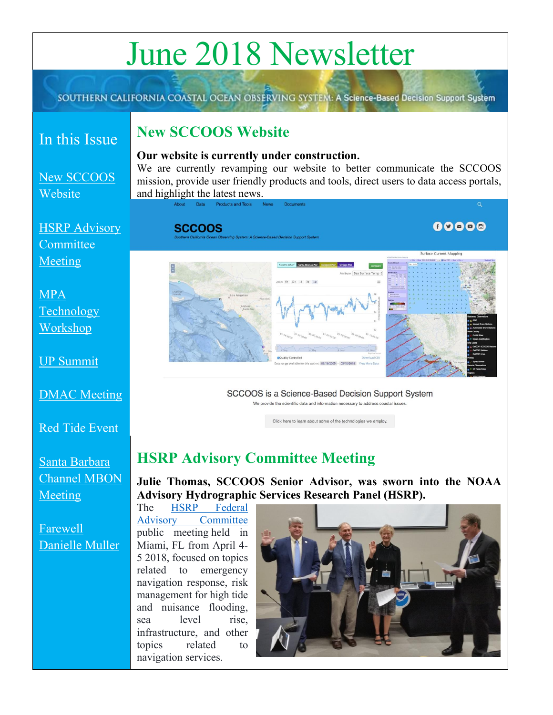# June 2018 Newsletter

SOUTHERN CALIFORNIA COASTAL OCEAN OBSERVING SYSTEM: A Science-Based Decision Support System

### In this Issue

#### <span id="page-0-0"></span>**New SCCOOS Website**

[New SCCOOS](#page-0-0)  **[Website](#page-0-0)** 

[HSRP Advisory](#page-0-1)  **Committee** [Meeting](#page-0-1) 

[MPA](#page-1-0)  **Technology** [Workshop](#page-1-0)

[UP Summit](#page-1-1)

[DMAC Meeting](#page-2-0)

[Red Tide Event](#page-2-1)

[Santa Barbara](#page-3-0) [Channel](#page-3-0) MBON **[Meeting](#page-3-0)** 

#### <span id="page-0-2"></span>[Farewell](#page-0-2)  [Danielle Muller](#page-0-2)

**Our website is currently under construction.** 

We are currently revamping our website to better communicate the SCCOOS mission, provide user friendly products and tools, direct users to data access portals, and highlight the latest news.

**SCCOOS** 





 $00000$ 

SCCOOS is a Science-Based Decision Support System We provide the scientific data and information necessary to address coastal issues

Click here to learn about some of the technologies we employ.

## <span id="page-0-1"></span>**HSRP Advisory Committee Meeting**

**Julie Thomas, SCCOOS Senior Advisor, was sworn into the NOAA Advisory Hydrographic Services Research Panel (HSRP).**

The [HSRP Federal](https://nauticalcharts.noaa.gov/hsrp/hsrp.htm)  [Advisory Committee](https://nauticalcharts.noaa.gov/hsrp/hsrp.htm) public meeting held in Miami, FL from April 4- 5 2018, focused on topics related to emergency navigation response, risk management for high tide and nuisance flooding, sea level rise, infrastructure, and other topics related to navigation services.

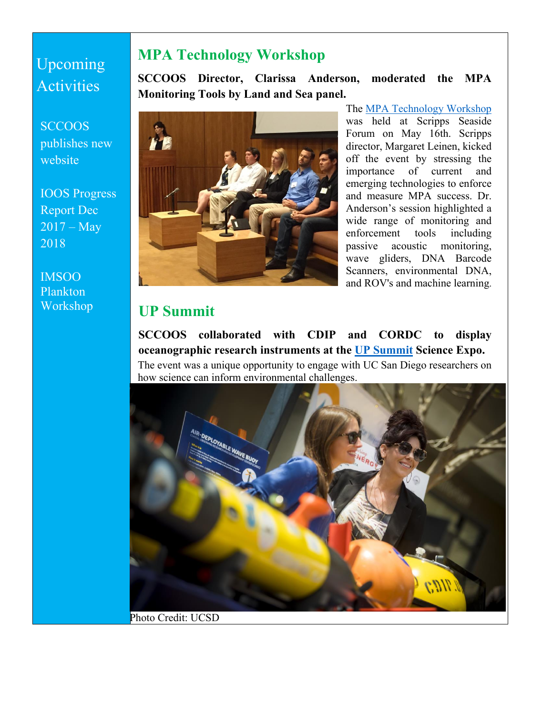# Upcoming Activities

**SCCOOS** publishes new website

IOOS Progress Report Dec  $2017 - May$ 2018

IMSOO Plankton Workshop

## <span id="page-1-0"></span>**MPA Technology Workshop**

**SCCOOS Director, Clarissa Anderson, moderated the MPA Monitoring Tools by Land and Sea panel.** 



The [MPA Technology Workshop](https://www.eventbrite.com/e/marine-protected-areas-technology-workshop-tickets-42098857817) was held at Scripps Seaside Forum on May 16th. Scripps director, Margaret Leinen, kicked off the event by stressing the importance of current and emerging technologies to enforce and measure MPA success. Dr. Anderson's session highlighted a wide range of monitoring and enforcement tools including passive acoustic monitoring, wave gliders, DNA Barcode Scanners, environmental DNA, and ROV's and machine learning.

#### <span id="page-1-1"></span>**UP Summit**

**SCCOOS collaborated with CDIP and CORDC to display oceanographic research instruments at the [UP Summit](https://upsummit.ucsd.edu/) Science Expo.**  The event was a unique opportunity to engage with UC San Diego researchers on how science can inform environmental challenges.



Photo Credit: UCSD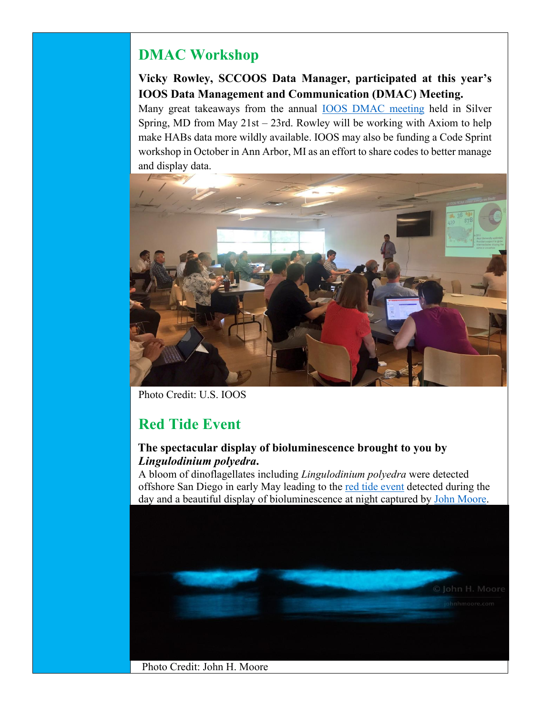# <span id="page-2-0"></span>**DMAC Workshop**

#### **Vicky Rowley, SCCOOS Data Manager, participated at this year's IOOS Data Management and Communication (DMAC) Meeting.**

Many great takeaways from the annual [IOOS DMAC meeting](https://ioos.noaa.gov/project/dmac/) held in Silver Spring, MD from May 21st – 23rd. Rowley will be working with Axiom to help make HABs data more wildly available. IOOS may also be funding a Code Sprint workshop in October in Ann Arbor, MI as an effort to share codes to better manage and display data.



Photo Credit: U.S. IOOS

## <span id="page-2-1"></span>**Red Tide Event**

#### **The spectacular display of bioluminescence brought to you by**  *Lingulodinium polyedra***.**

A bloom of dinoflagellates including *Lingulodinium polyedra* were detected offshore San Diego in early May leading to the [red tide event](https://scripps.ucsd.edu/news/red-tide-brings-bioluminescence-san-diego-beaches) detected during the day and a beautiful display of bioluminescence at night captured by [John Moore.](http://johnhmoore.com/photoblog/)